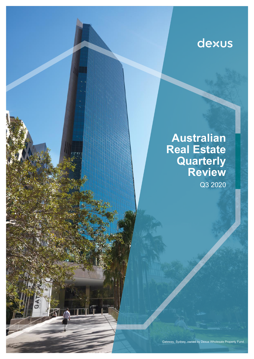# dexus

**Australian Real Estate Quarterly Review** Q3 2020

12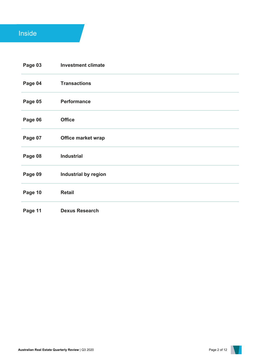## Inside

| Page 03 | <b>Investment climate</b> |
|---------|---------------------------|
| Page 04 | <b>Transactions</b>       |
| Page 05 | <b>Performance</b>        |
| Page 06 | <b>Office</b>             |
| Page 07 | <b>Office market wrap</b> |
| Page 08 | <b>Industrial</b>         |
| Page 09 | Industrial by region      |
| Page 10 | <b>Retail</b>             |
| Page 11 | <b>Dexus Research</b>     |

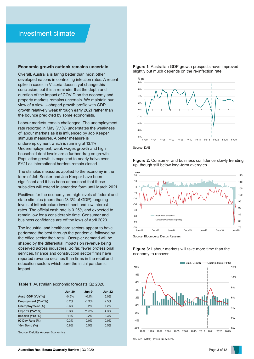### Investment climate

### **Economic growth outlook remains uncertain**

Overall, Australia is faring better than most other developed nations in controlling infection rates. A recent spike in cases in Victoria doesn't yet change this conclusion, but it is a reminder that the depth and duration of the impact of COVID on the economy and property markets remains uncertain. We maintain our view of a slow U-shaped growth profile with GDP growth relatively weak through early 2021 rather than the bounce predicted by some economists.

Labour markets remain challenged. The unemployment rate reported in May (7.1%) understates the weakness of labour markets as it is influenced by Job Keeper stimulus measures. A better measure is underemployment which is running at 13.1%. Underemployment, weak wages growth and high household debt levels are a further drag on growth. Population growth is expected to nearly halve over FY21 as international borders remain closed.

The stimulus measures applied to the economy in the form of Job Seeker and Job Keeper have been significant and it has been announced that these subsidies will extend in amended form until March 2021.

Positives for the economy are high levels of federal and state stimulus (more than 13.3% of GDP), ongoing levels of infrastructure investment and low interest rates. The official cash rate is 0.25% and expected to remain low for a considerable time. Consumer and business confidence are off the lows of April 2020.

The industrial and healthcare sectors appear to have performed the best through the pandemic, followed by the office sector then retail. Occupier demand will be shaped by the differential impacts on revenue being observed across industries. So far, fewer professional services, finance and construction sector firms have reported revenue declines than firms in the retail and education sectors which bore the initial pandemic impact.

### **Table 1:** Australian economic forecasts Q2 2020

|                    | <b>Jun-20</b> | <b>Jun-21</b> | <b>Jun-22</b> |
|--------------------|---------------|---------------|---------------|
| Aust. GDP (YoY %)  | $-0.6%$       | $-0.1\%$      | 5.0%          |
| Employment (YoY %) | 0.2%          | $-1.3%$       | 2.5%          |
| Unemployment (%)   | 5.6%          | 8.2%          | 7.2%          |
| Exports (YoY %)    | 0.3%          | 11.8%         | 4.3%          |
| Imports (YoY %)    | $-1.1%$       | $9.2\%$       | 2.3%          |
| 90 Day Rate (%)    | 0.3%          | 0.0%          | $0.0\%$       |
| 10yr Bond (%)      | 0.8%          | 0.5%          | 0.5%          |

Source: Deloitte Access Economics

**Figure 1:** Australian GDP growth prospects have improved slightly but much depends on the re-infection rate 8% % pa



Source: DAE







### **Figure 3:** Labour markets will take more time than the economy to recover

Source: ABS; Dexus Research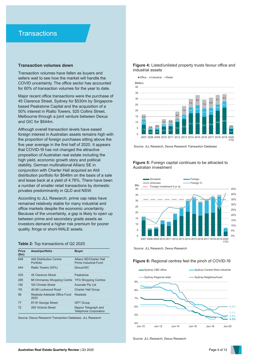### **Transaction volumes down**

Transaction volumes have fallen as buyers and sellers wait to see how the market will handle the COVID uncertainty. The office sector has accounted for 60% of transaction volumes for the year to date.

Major recent office transactions were the purchase of 45 Clarence Street, Sydney for \$530m by Singaporebased Peakstone Capital and the acquisition of a 50% interest in Rialto Towers, 525 Collins Street, Melbourne through a joint venture between Dexus and GIC for \$644m.

Although overall transaction levels have eased foreign interest in Australian assets remains high with the proportion of foreign purchases sitting above the five year average in the first half of 2020. It appears that COVID-19 has not changed the attractive proposition of Australian real estate including the high yield, economic growth story and political stability. German multinational Allianz SE in conjunction with Charter Hall acquired an Aldi distribution portfolio for \$648m on the basis of a sale and lease back at a yield of 4.76%. There have been a number of smaller retail transactions by domestic privates predominantly in QLD and NSW.

According to JLL Research, prime cap rates have remained relatively stable for many industrial and office markets despite the economic uncertainty. Because of the uncertainty, a gap is likely to open up between prime and secondary grade assets as investors demand a higher risk premium for poorer quality, fringe or short-WALE assets.

### **Table 2:** Top transactions of Q2 2020

| <b>Price</b><br>\$m\$ | Asset/portfolio                              | <b>Buyer</b>                                            |
|-----------------------|----------------------------------------------|---------------------------------------------------------|
| 648                   | <b>Aldi Distribution Centre</b><br>Portfolio | Allianz SE/Charter Hall<br><b>Prime Industrial Fund</b> |
| 644                   | Rialto Towers (50%)                          | Dexus/GIC                                               |
| 530                   | 45 Clarence Street                           | Peakstone                                               |
| 285                   | Mt Ommaney Shopping Centre                   | <b>YFG Shopping Centres</b>                             |
| 136                   | 120 Christie Street                          | <b>Ausivale Pty Ltd</b>                                 |
| 115                   | 40-66 Lockwood Road                          | <b>Charter Hall Group</b>                               |
| 88                    | Realside Adelaide Office Fund<br>2020        | Realside                                                |
| 77                    | 87-91 George Street                          | <b>GPT Group</b>                                        |
| 72                    | 200 Victoria Street                          | Nippon Telegraph and<br><b>Telephone Corporation</b>    |

Source: Dexus Research Transaction Database, JLL Research

### **Figure 4:** Listed/unlisted property trusts favour office and industrial assets



Source: JLL Research, Dexus Research Transaction Database



**Figure 5:** Foreign capital continues to be attracted to Australian investment

Source: JLL Research, Dexus Research

### **Figure 6:** Regional centres feel the pinch of COVID-19



Source: JLL Research, Dexus Research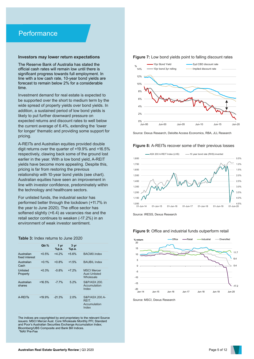## **Performance**

### **Investors may lower return expectations**

The Reserve Bank of Australia has stated the official cash rates will remain low until there is significant progress towards full employment. In line with a low cash rate, 10-year bond yields are forecast to remain below 2% for a considerable time.

Investment demand for real estate is expected to be supported over the short to medium term by the wide spread of property yields over bond yields. In addition, a sustained period of low bond yields is likely to put further downward pressure on expected returns and discount rates to well below the current average of 6.4%, extending the 'lower for longer' thematic and providing some support for pricing.

A-REITs and Australian equities provided double digit returns over the quarter of +19.9% and +16.5% respectively, clawing back some of the ground lost earlier in the year. With a low bond yield, A-REIT yields have become more appealing. Despite this, pricing is far from restoring the previous relationship with 10-year bond yields (see chart). Australian equities have seen an improvement in line with investor confidence, predominately within the technology and healthcare sectors.

For unlisted funds, the industrial sector has performed better through the lockdown (+11.7% in the year to June 2020). The office sector has softened slightly (+6.4) as vacancies rise and the retail sector continues to weaken (-17.2%) in an environment of weak investor sentiment.

**Table 3:** Index returns to June 2020

|                              | Qtr.%    | 1 yr<br>%p.a. | 3 <sub>vr</sub><br>%p.a. |                                                         |
|------------------------------|----------|---------------|--------------------------|---------------------------------------------------------|
| Australian<br>fixed interest | $+0.5%$  | $+4.2%$       | $+5.6%$                  | BACM0.Index                                             |
| Australian<br>Cash           | $+0.1%$  | $+0.8%$       | $+1.5%$                  | <b>BAUBIL Index</b>                                     |
| Unlisted<br>Property         | $+0.3%$  | $-0.8%$       | $+7.2%$                  | <b>MSCI Mercer</b><br><b>Aust Unlisted</b><br>Wholesale |
| Australian<br>shares         | $+16.5%$ | $-77%$        | 52%                      | S&P/ASX.200.<br>Accumulation<br>Index                   |
| A-REIT <sub>S</sub>          | $+19.9%$ | $-21.3%$      | 2.0%                     | S&P/ASX.200.A-<br>REIT.<br>Accumulation<br>Index        |

The indices are copyrighted by and proprietary to the relevant Source issuers: MSCI Mercer Aust. Core Wholesale Monthly PFI; Standard and Poor's Australian Securities Exchange Accumulation Index; Bloomberg/UBS Composite and Bank Bill Indices. \*NAV Pre-Fee

#### **Figure 7:** Low bond yields point to falling discount rates



Source: Dexus Research, Deloitte Access Economics, RBA, JLL Research

#### **Figure 8:** A-REITs recover some of their previous losses



Source: IRESS, Dexus Research

### **Figure 9:** Office and industrial funds outperform retail



Source: MSCI, Dexus Research

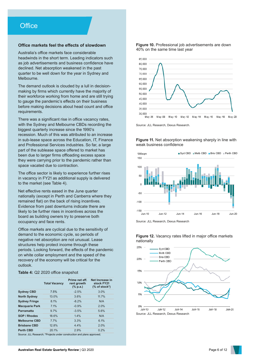### **Office markets feel the effects of slowdown**

Australia's office markets face considerable headwinds in the short term. Leading indicators such as job advertisements and business confidence have declined. Net absorption weakened in the past quarter to be well down for the year in Sydney and Melbourne.

The demand outlook is clouded by a lull in decisionmaking by firms which currently have the majority of their workforce working from home and are still trying to gauge the pandemic's effects on their business before making decisions about head count and office requirements.

There was a significant rise in office vacancy rates, with the Sydney and Melbourne CBDs recording the biggest quarterly increase since the 1990's recession. Much of this was attributed to an increase in sub-lease space across the Education, IT, Finance and Professional Services industries. So far, a large part of the sublease space offered to market has been due to larger firms offloading excess space they were carrying prior to the pandemic rather than space vacated due to contraction.

The office sector is likely to experience further rises in vacancy in FY21 as additional supply is delivered to the market (see Table 4).

Net effective rents eased in the June quarter nationally (except in Perth and Canberra where they remained flat) on the back of rising incentives. Evidence from past downturns indicate there are likely to be further rises in incentives across the board as building owners try to preserve both occupancy and face rents.

Office markets are cyclical due to the sensitivity of demand to the economic cycle, so periods of negative net absorption are not unusual. Lease structures help protect income through these periods. Looking forward, the effects of the pandemic on white collar employment and the speed of the recovery of the economy will be critical for the outlook.

### **Table 4:** Q2 2020 office snapshot

| Prime net eff.<br>rent growth<br>$(\%$ p.a.) | Net Increase in<br>stock FY21<br>$%$ of stock*)                        |
|----------------------------------------------|------------------------------------------------------------------------|
| $-2.5%$                                      | 3.0%                                                                   |
| 3.6%                                         | 11.7%                                                                  |
| $-8.2%$                                      | N/A                                                                    |
| $-0.9%$                                      | 2.0%                                                                   |
| $-3.5%$                                      | 5.6%                                                                   |
| 1.4%                                         | N/A                                                                    |
| 3.3%                                         | 6.1%                                                                   |
| 4.4%                                         | 2.0%                                                                   |
| 2.9%                                         | 0.2%                                                                   |
|                                              | Source: ILL Pessarch: *Projects under construction and plans approved. |

Source: JLL Research; \*Projects under construction and plans approved;

**Figure 10.** Professional job advertisements are down 40% on the same time last year



Source: JLL Research, Dexus Research.

**Figure 11.** Net absorption weakening sharply in line with weak business confidence







### **Figure 12.** Vacancy rates lifted in major office markets nationally

Source: JLL Research, Dexus Research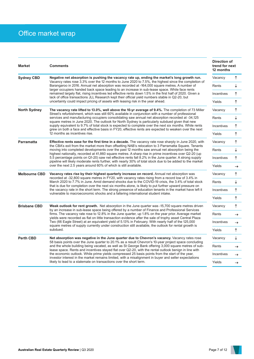## Office market wrap

| <b>Market</b>        | <b>Comments</b>                                                                                                                                                                                                                                                                                                                                                                                                                                                                                                                                                                                                                                                                                                           | <b>Direction of</b><br>trend for next<br>12 months |               |
|----------------------|---------------------------------------------------------------------------------------------------------------------------------------------------------------------------------------------------------------------------------------------------------------------------------------------------------------------------------------------------------------------------------------------------------------------------------------------------------------------------------------------------------------------------------------------------------------------------------------------------------------------------------------------------------------------------------------------------------------------------|----------------------------------------------------|---------------|
| <b>Sydney CBD</b>    | Negative net absorption is pushing the vacancy rate up, ending the market's long growth run.<br>Vacancy rates rose 3.3% over the 12 months to June 2020 to 7.5%, the highest since the completion of<br>Barangaroo in 2016. Annual net absorption was recorded at -164,000 square metres. A number of<br>larger occupiers handed back space leading to an increase in sub-lease space. While face rents<br>remained largely flat, rising incentives led effective rents down 1.5% in the first half of 2020. Given a<br>lack of office transactions JLL Research kept their official yield numbers stable in Q2-20, but                                                                                                   |                                                    | ↑             |
|                      |                                                                                                                                                                                                                                                                                                                                                                                                                                                                                                                                                                                                                                                                                                                           |                                                    | ↓             |
|                      |                                                                                                                                                                                                                                                                                                                                                                                                                                                                                                                                                                                                                                                                                                                           |                                                    | ↑             |
|                      | uncertainty could impact pricing of assets with leasing risk in the year ahead.                                                                                                                                                                                                                                                                                                                                                                                                                                                                                                                                                                                                                                           | Yields                                             | ↑             |
| <b>North Sydney</b>  | The vacancy rate lifted to 13.0%, well above the 10-yr average of 9.4%. The completion of 73 Miller                                                                                                                                                                                                                                                                                                                                                                                                                                                                                                                                                                                                                       | Vacancy                                            | ↑             |
|                      | Street's refurbishment, which was still 60% available in conjunction with a number of professional<br>services and manufacturing occupiers consolidating saw annual net absorption recorded at -34,125<br>square metres in June 2020. The outlook for North Sydney is particularly subdued given that new                                                                                                                                                                                                                                                                                                                                                                                                                 | Rents                                              | ↓             |
|                      | supply equivalent to 9.7% of total stock is expected to complete over the next six months. While rents<br>grew on both a face and effective basis in FY20, effective rents are expected to weaken over the next                                                                                                                                                                                                                                                                                                                                                                                                                                                                                                           |                                                    | ↑             |
|                      | 12 months as incentives rise.                                                                                                                                                                                                                                                                                                                                                                                                                                                                                                                                                                                                                                                                                             | Yields                                             | ↑             |
| <b>Parramatta</b>    | <b>Effective rents ease for the first time in a decade.</b> The vacancy rate rose sharply in June 2020, with<br>the CBA's exit from the market more than offsetting NAB's relocation to 3 Parramatta Square. Tenants<br>moving into completed developments over the past 12 months saw annual net absorption being the<br>highest nationally, recorded at 41,860 square metres. A sharp rise in prime incentives over Q2-20 (up<br>5.5 percentage points on Q1-20) saw net effective rents fall 8.2% in the June quarter. A strong supply<br>pipeline will likely moderate rents further, with nearly 30% of total stock due to be added to the market<br>over the next 2.5 years around 60% of which is still available. | Vacancy                                            | ↑             |
|                      |                                                                                                                                                                                                                                                                                                                                                                                                                                                                                                                                                                                                                                                                                                                           | Rents                                              | ↓             |
|                      |                                                                                                                                                                                                                                                                                                                                                                                                                                                                                                                                                                                                                                                                                                                           | Incentives                                         | ↑             |
|                      |                                                                                                                                                                                                                                                                                                                                                                                                                                                                                                                                                                                                                                                                                                                           | Yields                                             | →             |
| <b>Melbourne CBD</b> | Vacancy rates rise by their highest quarterly increase on record. Annual net absorption was<br>recorded at -32,800 square metres in FY20, with vacancy rates rising from a record low of 3.4% in<br>March 2020 to 7.7% in June. Amid demand shocks due to the COVID-19 crisis, the 3.4% of total stock<br>that is due for completion over the next six months alone, is likely to put further upward pressure on<br>the vacancy rate in the short term. The strong presence of education tenants in the market have left it<br>vulnerable to macroeconomic shocks and a faltering international student intake.                                                                                                           |                                                    | ↑             |
|                      |                                                                                                                                                                                                                                                                                                                                                                                                                                                                                                                                                                                                                                                                                                                           |                                                    | ↓             |
|                      |                                                                                                                                                                                                                                                                                                                                                                                                                                                                                                                                                                                                                                                                                                                           |                                                    | ↑             |
|                      |                                                                                                                                                                                                                                                                                                                                                                                                                                                                                                                                                                                                                                                                                                                           | Yields                                             | ↑             |
| <b>Brisbane CBD</b>  | Weak outlook for rent growth. Net absorption in the June quarter was -15,700 square metres driven<br>by an increase in sub-lease space being offered by a number of Finance and Professional Services<br>firms. The vacancy rate rose to 12.8% in the June quarter, up 1.8% on the year prior. Average market<br>yields were recorded as flat on little transaction evidence after the sale of trophy asset Central Plaza<br>Two (66 Eagle Street) at an equivalent yield of 5.13% in February. With nearly half of the 125,000<br>square metres of supply currently under construction still available, the outlook for rental growth is<br>subdued.                                                                     | Vacancy                                            | ↑             |
|                      |                                                                                                                                                                                                                                                                                                                                                                                                                                                                                                                                                                                                                                                                                                                           | Rents                                              | →             |
|                      |                                                                                                                                                                                                                                                                                                                                                                                                                                                                                                                                                                                                                                                                                                                           | Incentives                                         | $\rightarrow$ |
|                      |                                                                                                                                                                                                                                                                                                                                                                                                                                                                                                                                                                                                                                                                                                                           | Yields                                             | ↑             |
| <b>Perth CBD</b>     | Net absorption was negative in the June quarter due to Chevron's vacancy. Vacancy rates rose<br>58 basis points over the June quarter to 20.1% as a result Chevron's 10-year project space concluding<br>and the whole building being vacated, as well as St George Bank offering 3,000 square metres of sub-<br>lease space. Rents and incentives stayed flat over Q2-20, with the rental outlook benign in line with<br>the economic outlook. While prime yields compressed 25 basis points from the start of the year,<br>investor interest in the market remains limited, with a misalignment in buyer and seller expectations<br>likely to lead to a stalemate on transactions over the short term.                  |                                                    | ↓             |
|                      |                                                                                                                                                                                                                                                                                                                                                                                                                                                                                                                                                                                                                                                                                                                           |                                                    | $\rightarrow$ |
|                      |                                                                                                                                                                                                                                                                                                                                                                                                                                                                                                                                                                                                                                                                                                                           |                                                    | →             |
|                      |                                                                                                                                                                                                                                                                                                                                                                                                                                                                                                                                                                                                                                                                                                                           |                                                    | $\rightarrow$ |



 $\frac{\uparrow}{\downarrow}$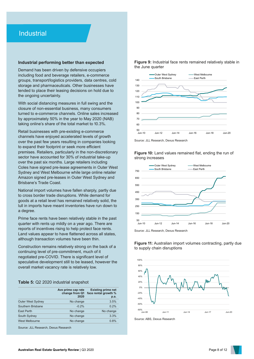### **Industrial**

### **Industrial performing better than expected**

Demand has been driven by defensive occupiers including food and beverage retailers, e-commerce groups, transport/logistics providers, data centres, cold storage and pharmaceuticals. Other businesses have tended to place their leasing decisions on hold due to the ongoing uncertainty.

With social distancing measures in full swing and the closure of non-essential business, many consumers turned to e-commerce channels. Online sales increased by approximately 50% in the year to May 2020 (NAB) taking online's share of the total market to 10.3%.

Retail businesses with pre-existing e-commerce channels have enjoyed accelerated levels of growth over the past few years resulting in companies looking to expand their footprint or seek more efficient premises. Retailers, particularly in the non-discretionary sector have accounted for 30% of industrial take-up over the past six months. Large retailers including Coles have signed pre-lease agreements in Outer West Sydney and West Melbourne while large online retailer Amazon signed pre-leases in Outer West Sydney and Brisbane's Trade Coast.

National import volumes have fallen sharply, partly due to cross border trade disruptions. While demand for goods at a retail level has remained relatively solid, the lull in imports have meant inventories have run down to a degree.

Prime face rents have been relatively stable in the past quarter with rents up mildly on a year ago. There are reports of incentives rising to help protect face rents. Land values appear to have flattened across all states, although transaction volumes have been thin.

Construction remains relatively strong on the back of a continuing level of pre-commitment, much of it negotiated pre-COVID. There is significant level of speculative development still to be leased, however the overall market vacancy rate is relatively low.

### **Table 5:** Q2 2020 industrial snapshot

|                          | Ave prime cap rate<br>change from Q1<br>2020 | <b>Existing prime net</b><br>face rental growth %<br>p.a. |
|--------------------------|----------------------------------------------|-----------------------------------------------------------|
| <b>Outer West Sydney</b> | No change                                    | 3.5%                                                      |
| Southern Brisbane        | $-0.2%$                                      | 0.2%                                                      |
| East Perth               | No change                                    | No change                                                 |
| South Sydney             | No change                                    | 3.3%                                                      |
| West Melbourne           | No change                                    | 0.8%                                                      |

Source: JLL Research, Dexus Research

**Figure 9:** Industrial face rents remained relatively stable in the June quarter





**Figure 10:** Land values remained flat, ending the run of strong increases



Source: JLL Research, Dexus Research





Source: ABS, Dexus Research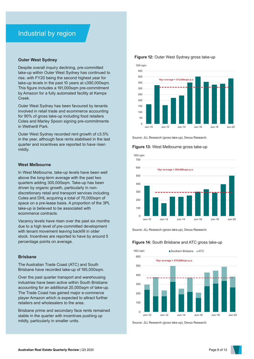### **Outer West Sydney**

Despite overall inquiry declining, pre-committed take-up within Outer West Sydney has continued to rise, with FY20 being the second highest year for take-up levels in the past 10 years at c390,000sqm. This figure includes a 191,000sqm pre-commitment by Amazon for a fully automated facility at Kemps Creek.

Outer West Sydney has been favoured by tenants involved in retail trade and ecommerce accounting for 90% of gross take-up including food retailers Coles and Marley Spoon signing pre-commitments in Wetherill Park.

Outer West Sydney recorded rent growth of c3.5% in the year, although face rents stabilised in the last quarter and incentives are reported to have risen mildly.

### **West Melbourne**

In West Melbourne, take-up levels have been well above the long-term average with the past two quarters adding 300,000sqm. Take-up has been driven by organic growth, particularly in nondiscretionary retail and transport services including Coles and DHL acquiring a total of 70,000sqm of space on a pre-lease basis. A proportion of the 3PL take-up is believed to be associated with ecommerce contracts.

Vacancy levels have risen over the past six months due to a high level of pre-committed development with tenant movement leaving backfill in older stock. Incentives are reported to have by around 5 percentage points on average.

### **Brisbane**

The Australian Trade Coast (ATC) and South Brisbane have recorded take-up of 195,000sqm.

Over the past quarter transport and warehousing industries have been active within South Brisbane accounting for an additional 20,000sqm of take-up. The Trade Coast has gained major e-commerce player Amazon which is expected to attract further retailers and wholesalers to the area.

Brisbane prime and secondary face rents remained stable in the quarter with incentives pushing up mildly, particularly in smaller units.



### **Figure 12:** Outer West Sydney gross take-up

Source: JLL Research (gross take-up), Dexus Research.

### **Figure 13:** West Melbourne gross take-up



Source: JLL Research (gross take-up), Dexus Research.

### **Figure 14:** South Brisbane and ATC gross take-up



Source: JLL Research (gross take-up), Dexus Research.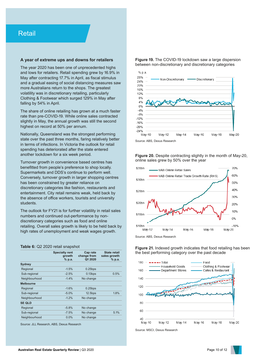### **A year of extreme ups and downs for retailers**

The year 2020 has been one of unprecedented highs and lows for retailers. Retail spending grew by 16.9% in May after contracting 17.7% in April, as fiscal stimulus and a gradual easing of social distancing measures saw more Australians return to the shops. The greatest volatility was in discretionary retailing, particularly Clothing & Footwear which surged 129% in May after falling by 54% in April.

The share of online retailing has grown at a much faster rate than pre-COVID-19. While online sales contracted slightly in May, the annual growth was still the second highest on record at 50% per annum.

Nationally, Queensland was the strongest performing state over the past three months, faring relatively better in terms of infections. In Victoria the outlook for retail spending has deteriorated after the state entered another lockdown for a six week period.

Turnover growth in convenience based centres has benefitted from people's preference to shop locally. Supermarkets and DDS's continue to perform well. Conversely, turnover growth in larger shopping centres has been constrained by greater reliance on discretionary categories like fashion, restaurants and entertainment. City retail remains weak, held back by the absence of office workers, tourists and university students.

The outlook for FY21 is for further volatility in retail sales numbers and continued out-performance by nondiscretionary categories such as food and online retailing. Overall sales growth is likely to be held back by high rates of unemployment and weak wages growth.

### **Table 6:** Q2 2020 retail snapshot

|                  | <b>Specialty rent</b><br>growth<br>% p.a. | Cap rate<br>change from<br>Q1 2020 | <b>State retail</b><br>sales growth<br>% p.a. |
|------------------|-------------------------------------------|------------------------------------|-----------------------------------------------|
| Sydney           |                                           |                                    |                                               |
| Regional         | $-1.5%$                                   | $0.25$ bps                         |                                               |
| Sub-regional     | $-2.5%$                                   | $0.13$ bps                         | 0.5%                                          |
| Neighbourhood    | $-1.4%$                                   | No change                          |                                               |
| <b>Melbourne</b> |                                           |                                    |                                               |
| Regional         | $-1.6%$                                   | $0.25$ bps                         |                                               |
| Sub-regional     | $-5.0%$                                   | $12.5$ bps                         | 1.8%                                          |
| Neighbourhood    | $-1.2%$                                   | No change                          |                                               |
| <b>SE QLD</b>    |                                           |                                    |                                               |
| Regional         | $-5.8%$                                   | No change                          |                                               |
| Sub-regional     | $-7.5%$                                   | No change                          | 5.1%                                          |
| Neighbourhood    | 0.0%                                      | No change                          |                                               |
|                  |                                           |                                    |                                               |

Source: JLL Research, ABS, Dexus Research

**Figure 19.** The COVID-19 lockdown saw a large dispersion between non-discretionary and discretionary categories



Source: ABS, Dexus Research

**Figure 20.** Despite contracting slightly in the month of May-20. online sales grew by 50% over the year



Source: ABS, Dexus Research

**Figure 21.** Indexed growth indicates that food retailing has been the best performing category over the past decade



Source: MSCI, Dexus Research

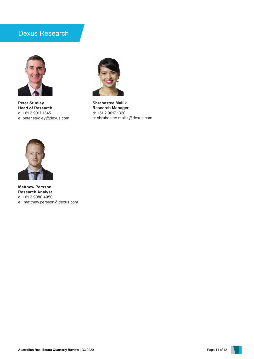## Dexus Research



**Peter Studley Head of Research** d: +61 2 9017 1345 e: [peter.studley@dexus.com](mailto:peter.studley@dexus.com)



**Shrabastee Mallik Research Manager** d: +61 2 9017 1320 e: shrabastee.mallik@dexus.com



**Matthew Persson Research Analyst**  d: +61 2 9080 4950 e: [matthew.persson@dexus.com](mailto:%20kimberley.slow@dexus.com)